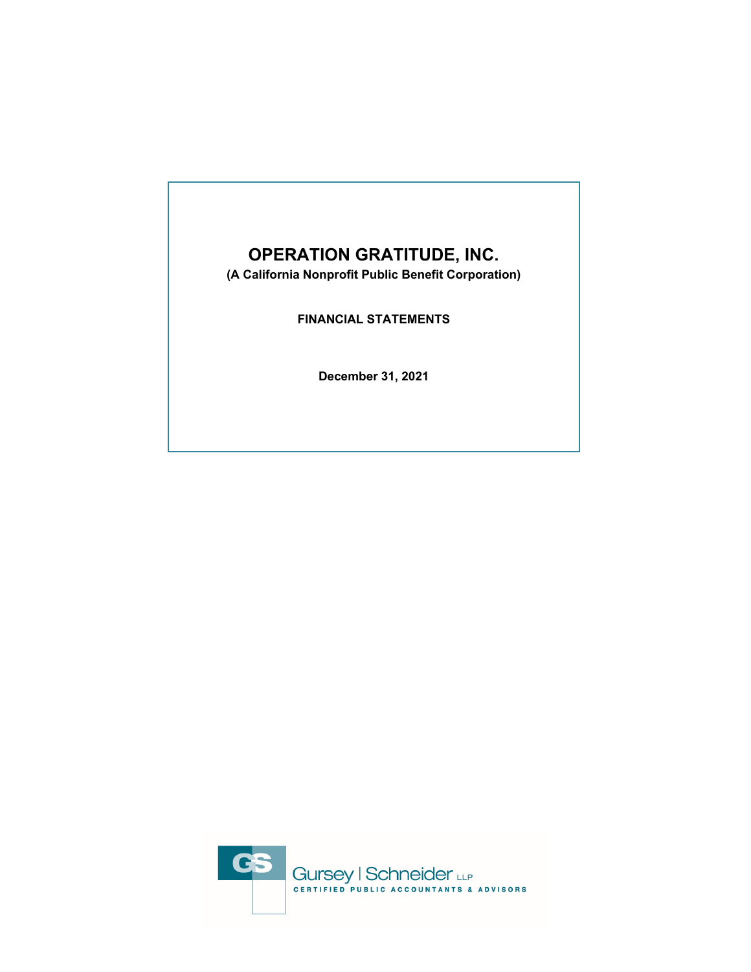# **OPERATION GRATITUDE, INC.**

**(A California Nonprofit Public Benefit Corporation)**

**FINANCIAL STATEMENTS** 

**December 31, 2021** 

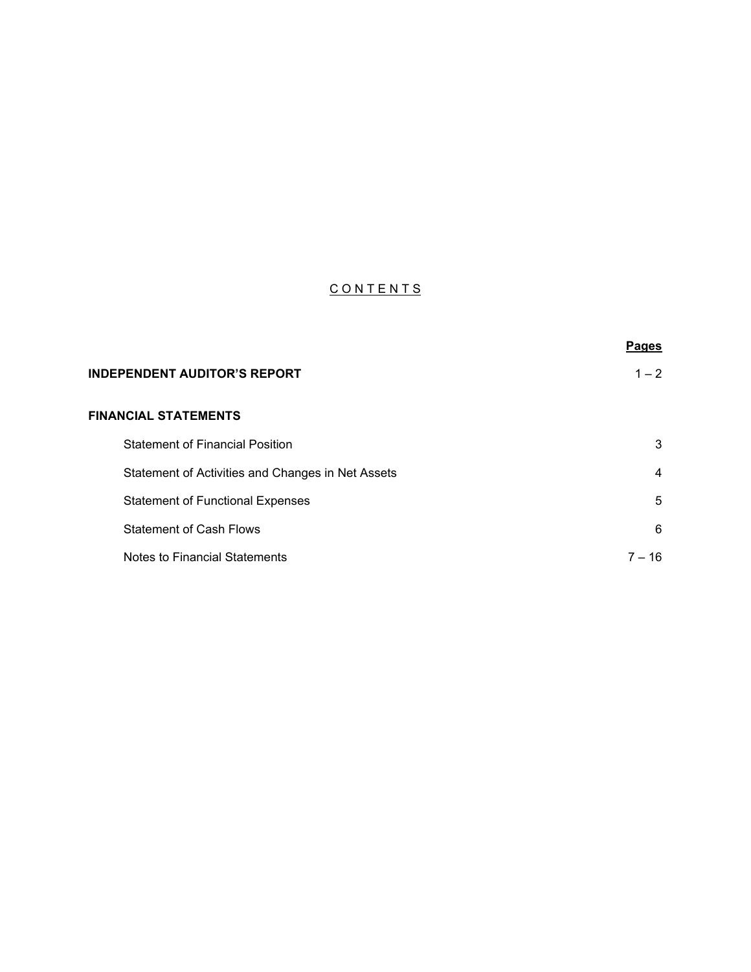# CONTENTS

|                                                   | <b>Pages</b> |
|---------------------------------------------------|--------------|
| <b>INDEPENDENT AUDITOR'S REPORT</b>               | $1 - 2$      |
| <b>FINANCIAL STATEMENTS</b>                       |              |
| <b>Statement of Financial Position</b>            | 3            |
| Statement of Activities and Changes in Net Assets | 4            |
| <b>Statement of Functional Expenses</b>           | 5            |
| <b>Statement of Cash Flows</b>                    | 6            |
| Notes to Financial Statements                     | 7 – 16       |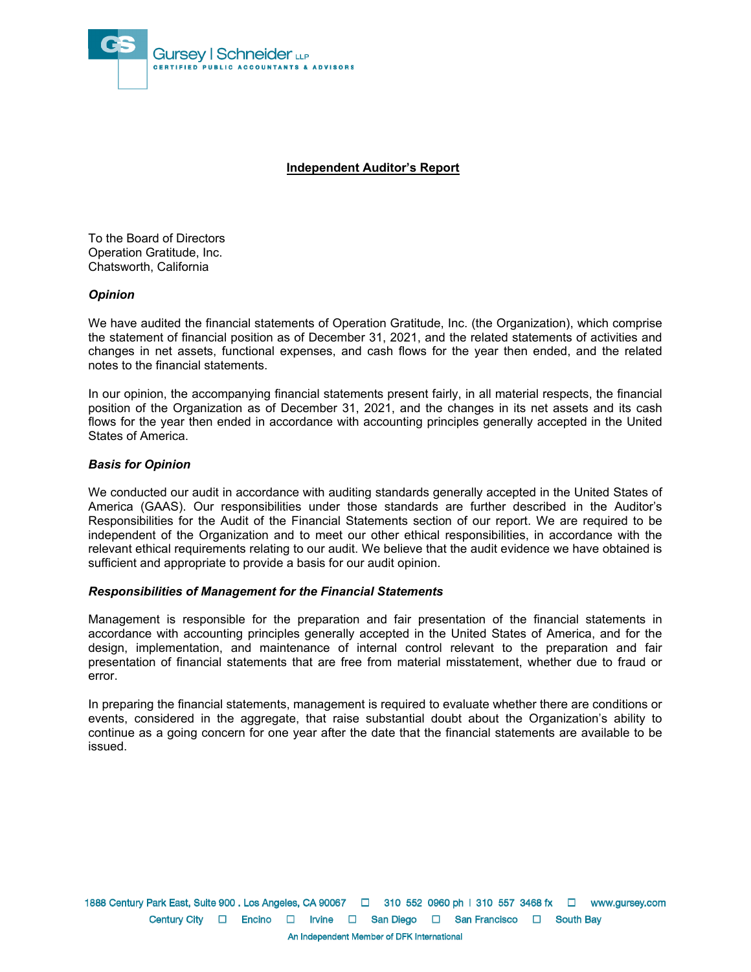

#### **Independent Auditor's Report**

To the Board of Directors Operation Gratitude, Inc. Chatsworth, California

#### *Opinion*

We have audited the financial statements of Operation Gratitude, Inc. (the Organization), which comprise the statement of financial position as of December 31, 2021, and the related statements of activities and changes in net assets, functional expenses, and cash flows for the year then ended, and the related notes to the financial statements.

In our opinion, the accompanying financial statements present fairly, in all material respects, the financial position of the Organization as of December 31, 2021, and the changes in its net assets and its cash flows for the year then ended in accordance with accounting principles generally accepted in the United States of America.

#### *Basis for Opinion*

We conducted our audit in accordance with auditing standards generally accepted in the United States of America (GAAS). Our responsibilities under those standards are further described in the Auditor's Responsibilities for the Audit of the Financial Statements section of our report. We are required to be independent of the Organization and to meet our other ethical responsibilities, in accordance with the relevant ethical requirements relating to our audit. We believe that the audit evidence we have obtained is sufficient and appropriate to provide a basis for our audit opinion.

#### *Responsibilities of Management for the Financial Statements*

Management is responsible for the preparation and fair presentation of the financial statements in accordance with accounting principles generally accepted in the United States of America, and for the design, implementation, and maintenance of internal control relevant to the preparation and fair presentation of financial statements that are free from material misstatement, whether due to fraud or error.

In preparing the financial statements, management is required to evaluate whether there are conditions or events, considered in the aggregate, that raise substantial doubt about the Organization's ability to continue as a going concern for one year after the date that the financial statements are available to be issued.

1888 Century Park East, Suite 900 . Los Angeles, CA 90067  $\Box$  310 552 0960 ph | 310 557 3468 fx  $\Box$  www.gursey.com Century City □ Encino □ Irvine □ San Diego □ San Francisco □ South Bay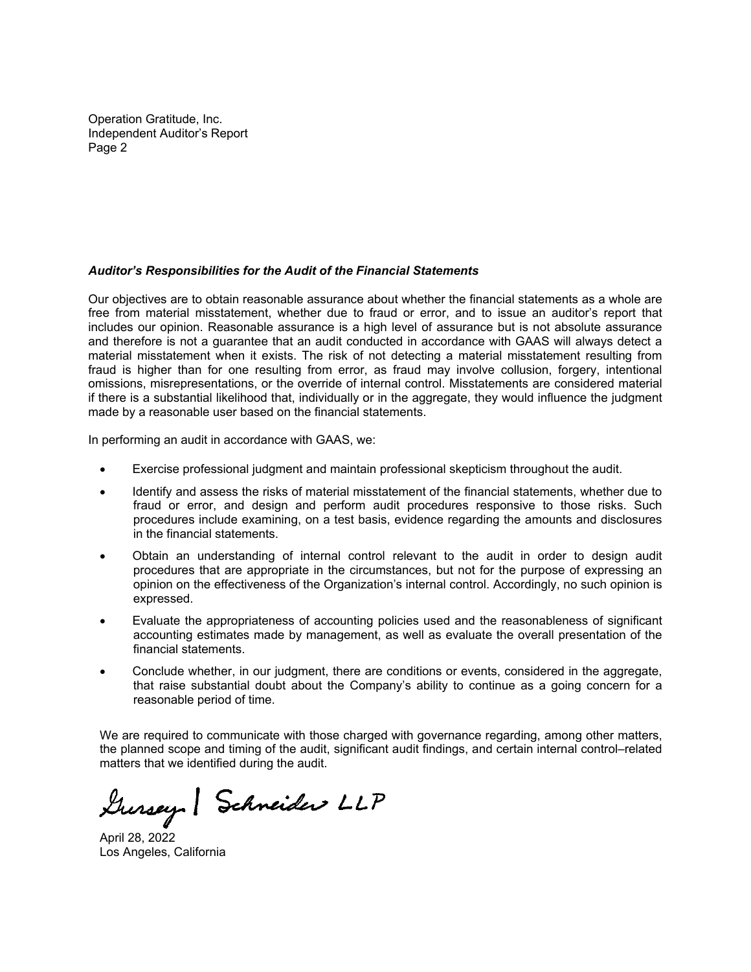Operation Gratitude, Inc. Independent Auditor's Report Page 2

#### *Auditor's Responsibilities for the Audit of the Financial Statements*

Our objectives are to obtain reasonable assurance about whether the financial statements as a whole are free from material misstatement, whether due to fraud or error, and to issue an auditor's report that includes our opinion. Reasonable assurance is a high level of assurance but is not absolute assurance and therefore is not a guarantee that an audit conducted in accordance with GAAS will always detect a material misstatement when it exists. The risk of not detecting a material misstatement resulting from fraud is higher than for one resulting from error, as fraud may involve collusion, forgery, intentional omissions, misrepresentations, or the override of internal control. Misstatements are considered material if there is a substantial likelihood that, individually or in the aggregate, they would influence the judgment made by a reasonable user based on the financial statements.

In performing an audit in accordance with GAAS, we:

- Exercise professional judgment and maintain professional skepticism throughout the audit.
- Identify and assess the risks of material misstatement of the financial statements, whether due to fraud or error, and design and perform audit procedures responsive to those risks. Such procedures include examining, on a test basis, evidence regarding the amounts and disclosures in the financial statements.
- Obtain an understanding of internal control relevant to the audit in order to design audit procedures that are appropriate in the circumstances, but not for the purpose of expressing an opinion on the effectiveness of the Organization's internal control. Accordingly, no such opinion is expressed.
- Evaluate the appropriateness of accounting policies used and the reasonableness of significant accounting estimates made by management, as well as evaluate the overall presentation of the financial statements.
- Conclude whether, in our judgment, there are conditions or events, considered in the aggregate, that raise substantial doubt about the Company's ability to continue as a going concern for a reasonable period of time.

We are required to communicate with those charged with governance regarding, among other matters, the planned scope and timing of the audit, significant audit findings, and certain internal control–related matters that we identified during the audit.

Gursey Schneider LLP

April 28, 2022 Los Angeles, California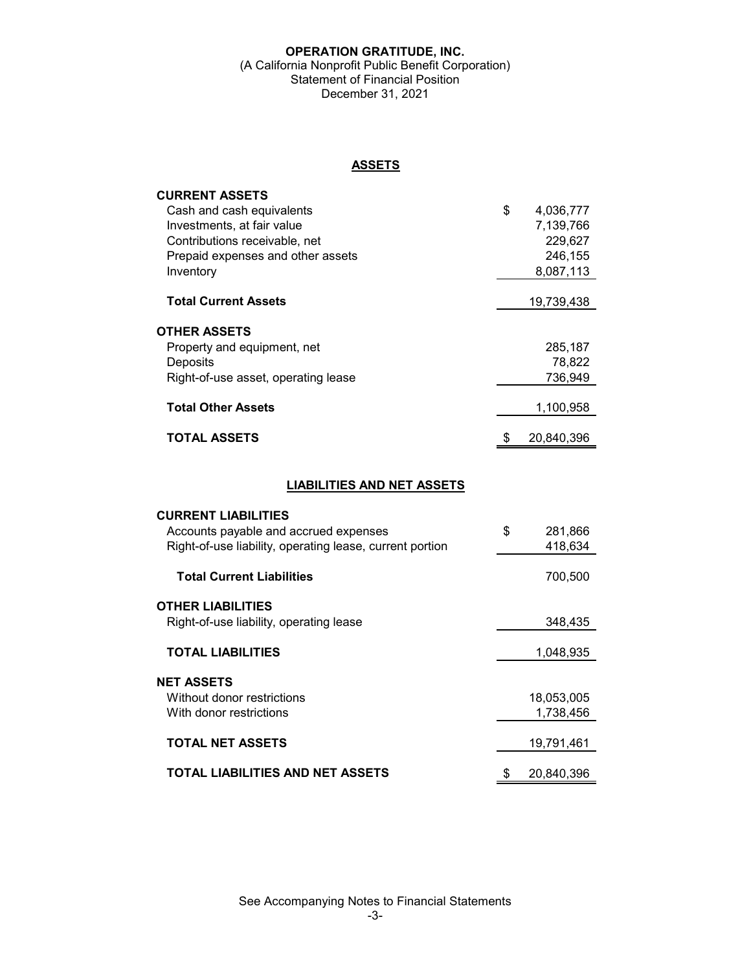#### **OPERATION GRATITUDE, INC.**  (A California Nonprofit Public Benefit Corporation) Statement of Financial Position December 31, 2021

**ASSETS**

| <b>CURRENT ASSETS</b><br>Cash and cash equivalents | \$<br>4,036,777 |
|----------------------------------------------------|-----------------|
| Investments, at fair value                         | 7,139,766       |
| Contributions receivable, net                      | 229,627         |
| Prepaid expenses and other assets                  | 246,155         |
| Inventory                                          | 8,087,113       |
|                                                    |                 |
| <b>Total Current Assets</b>                        | 19,739,438      |
| <b>OTHER ASSETS</b>                                |                 |
| Property and equipment, net                        | 285,187         |
| Deposits                                           | 78,822          |
| Right-of-use asset, operating lease                | 736,949         |
| <b>Total Other Assets</b>                          | 1,100,958       |
| <b>TOTAL ASSETS</b>                                | 20,840,396<br>S |

# **LIABILITIES AND NET ASSETS**

| <b>CURRENT LIABILITIES</b>                               |               |
|----------------------------------------------------------|---------------|
| Accounts payable and accrued expenses                    | \$<br>281,866 |
| Right-of-use liability, operating lease, current portion | 418.634       |
| <b>Total Current Liabilities</b>                         | 700,500       |
| OTHER LIABILITIES                                        |               |
| Right-of-use liability, operating lease                  | 348,435       |
| <b>TOTAL LIABILITIES</b>                                 | 1,048,935     |
| NET ASSETS                                               |               |
| Without donor restrictions                               | 18,053,005    |
| With donor restrictions                                  | 1,738,456     |
| <b>TOTAL NET ASSETS</b>                                  | 19,791,461    |
| TOTAL LIABILITIES AND NET ASSETS                         | 20,840,396    |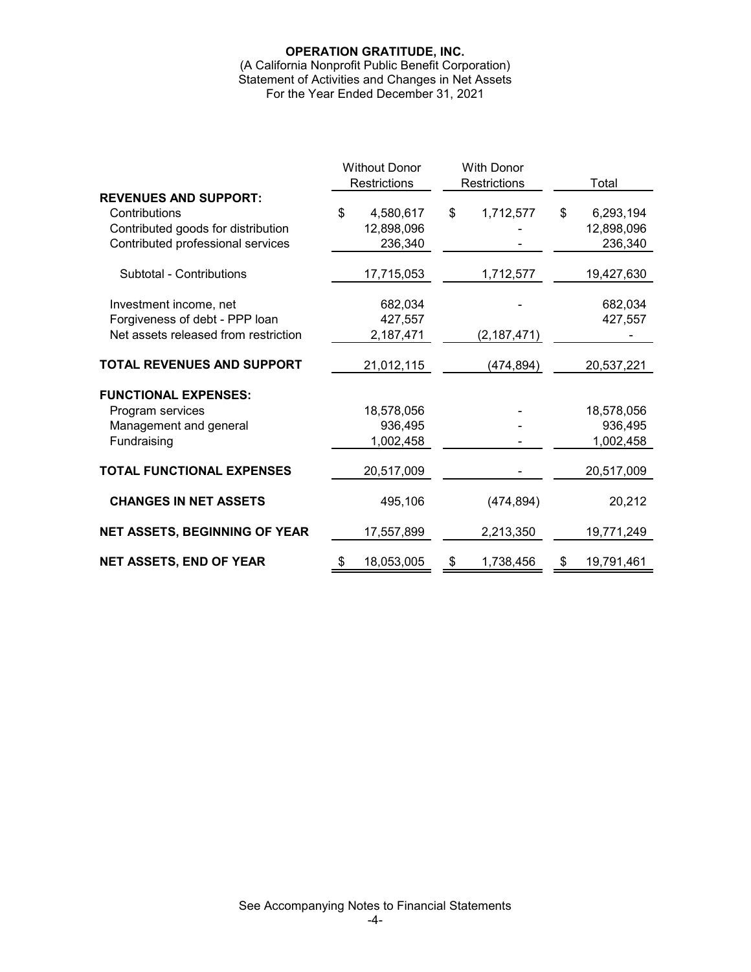# **OPERATION GRATITUDE, INC.**

(A California Nonprofit Public Benefit Corporation) Statement of Activities and Changes in Net Assets For the Year Ended December 31, 2021

|                                      | <b>Without Donor</b> |                     | <b>With Donor</b> |               |                  |
|--------------------------------------|----------------------|---------------------|-------------------|---------------|------------------|
|                                      |                      | <b>Restrictions</b> | Restrictions      |               | Total            |
| <b>REVENUES AND SUPPORT:</b>         |                      |                     |                   |               |                  |
| Contributions                        | \$                   | 4,580,617           | \$                | 1,712,577     | \$<br>6,293,194  |
| Contributed goods for distribution   |                      | 12,898,096          |                   |               | 12,898,096       |
| Contributed professional services    |                      | 236,340             |                   |               | 236,340          |
| Subtotal - Contributions             |                      | 17,715,053          |                   | 1,712,577     | 19,427,630       |
| Investment income, net               |                      | 682,034             |                   |               | 682,034          |
| Forgiveness of debt - PPP loan       |                      | 427,557             |                   |               | 427,557          |
| Net assets released from restriction |                      | 2,187,471           |                   | (2, 187, 471) |                  |
| TOTAL REVENUES AND SUPPORT           |                      | 21,012,115          |                   | (474, 894)    | 20,537,221       |
| <b>FUNCTIONAL EXPENSES:</b>          |                      |                     |                   |               |                  |
| Program services                     |                      | 18,578,056          |                   |               | 18,578,056       |
| Management and general               |                      | 936,495             |                   |               | 936,495          |
| Fundraising                          |                      | 1,002,458           |                   |               | 1,002,458        |
| <b>TOTAL FUNCTIONAL EXPENSES</b>     |                      | 20,517,009          |                   |               | 20,517,009       |
| <b>CHANGES IN NET ASSETS</b>         |                      | 495,106             |                   | (474, 894)    | 20,212           |
| <b>NET ASSETS, BEGINNING OF YEAR</b> |                      | 17,557,899          |                   | 2,213,350     | 19,771,249       |
| <b>NET ASSETS, END OF YEAR</b>       | \$                   | 18,053,005          | \$                | 1,738,456     | \$<br>19,791,461 |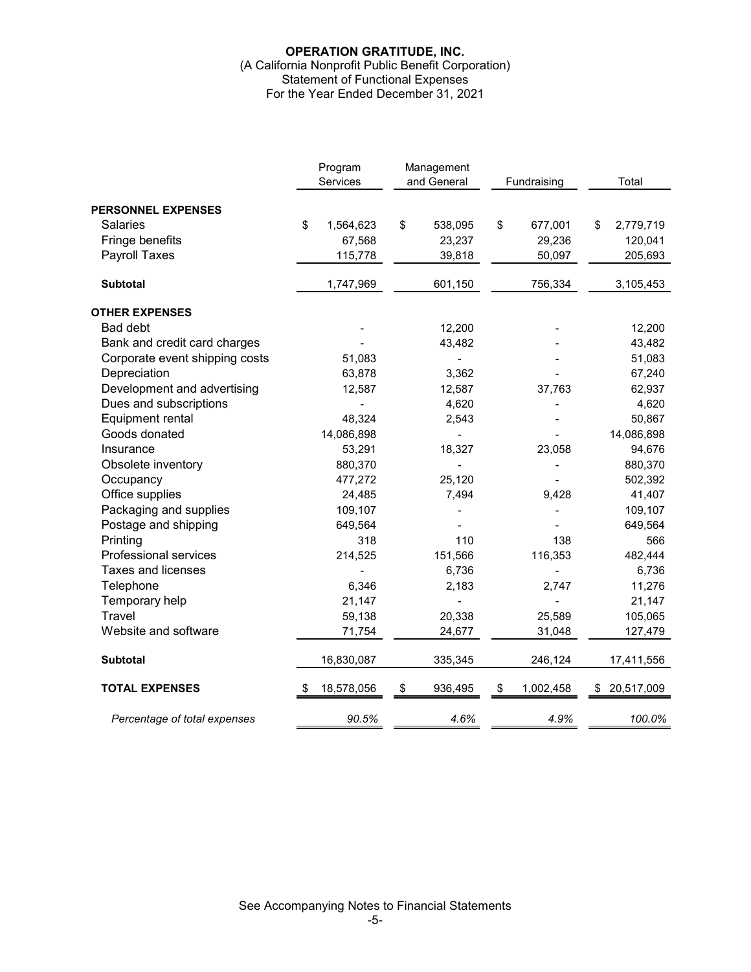# **OPERATION GRATITUDE, INC.**  (A California Nonprofit Public Benefit Corporation) Statement of Functional Expenses For the Year Ended December 31, 2021

|                                | Program<br>Services |            | Management<br>and General |         |    |           | Fundraising |            |  | Total |
|--------------------------------|---------------------|------------|---------------------------|---------|----|-----------|-------------|------------|--|-------|
|                                |                     |            |                           |         |    |           |             |            |  |       |
| <b>PERSONNEL EXPENSES</b>      |                     |            |                           |         |    |           |             |            |  |       |
| <b>Salaries</b>                | \$                  | 1,564,623  | \$                        | 538,095 | \$ | 677,001   | \$          | 2,779,719  |  |       |
| Fringe benefits                |                     | 67,568     |                           | 23,237  |    | 29,236    |             | 120,041    |  |       |
| Payroll Taxes                  |                     | 115,778    |                           | 39,818  |    | 50,097    |             | 205,693    |  |       |
| <b>Subtotal</b>                |                     | 1,747,969  |                           | 601,150 |    | 756,334   |             | 3,105,453  |  |       |
| <b>OTHER EXPENSES</b>          |                     |            |                           |         |    |           |             |            |  |       |
| <b>Bad debt</b>                |                     |            |                           | 12,200  |    |           |             | 12,200     |  |       |
| Bank and credit card charges   |                     |            |                           | 43,482  |    |           |             | 43,482     |  |       |
| Corporate event shipping costs |                     | 51,083     |                           |         |    |           |             | 51,083     |  |       |
| Depreciation                   |                     | 63,878     |                           | 3,362   |    |           |             | 67,240     |  |       |
| Development and advertising    |                     | 12,587     |                           | 12,587  |    | 37,763    |             | 62,937     |  |       |
| Dues and subscriptions         |                     |            |                           | 4,620   |    |           |             | 4,620      |  |       |
| Equipment rental               |                     | 48,324     |                           | 2,543   |    |           |             | 50,867     |  |       |
| Goods donated                  |                     | 14,086,898 |                           |         |    |           |             | 14,086,898 |  |       |
| Insurance                      |                     | 53,291     |                           | 18,327  |    | 23,058    |             | 94,676     |  |       |
| Obsolete inventory             |                     | 880,370    |                           |         |    |           |             | 880,370    |  |       |
| Occupancy                      |                     | 477,272    |                           | 25,120  |    |           |             | 502,392    |  |       |
| Office supplies                |                     | 24,485     |                           | 7,494   |    | 9,428     |             | 41,407     |  |       |
| Packaging and supplies         |                     | 109,107    |                           |         |    |           |             | 109,107    |  |       |
| Postage and shipping           |                     | 649,564    |                           |         |    |           |             | 649,564    |  |       |
| Printing                       |                     | 318        |                           | 110     |    | 138       |             | 566        |  |       |
| Professional services          |                     | 214,525    |                           | 151,566 |    | 116,353   |             | 482,444    |  |       |
| <b>Taxes and licenses</b>      |                     |            |                           | 6,736   |    |           |             | 6,736      |  |       |
| Telephone                      |                     | 6,346      |                           | 2,183   |    | 2,747     |             | 11,276     |  |       |
| Temporary help                 |                     | 21,147     |                           |         |    |           |             | 21,147     |  |       |
| Travel                         |                     | 59,138     |                           | 20,338  |    | 25,589    |             | 105,065    |  |       |
| Website and software           |                     | 71,754     |                           | 24,677  |    | 31,048    |             | 127,479    |  |       |
| <b>Subtotal</b>                |                     | 16,830,087 |                           | 335,345 |    | 246,124   |             | 17,411,556 |  |       |
| <b>TOTAL EXPENSES</b>          |                     | 18,578,056 | \$                        | 936,495 | \$ | 1,002,458 | S           | 20,517,009 |  |       |
| Percentage of total expenses   |                     | 90.5%      |                           | 4.6%    |    | 4.9%      |             | 100.0%     |  |       |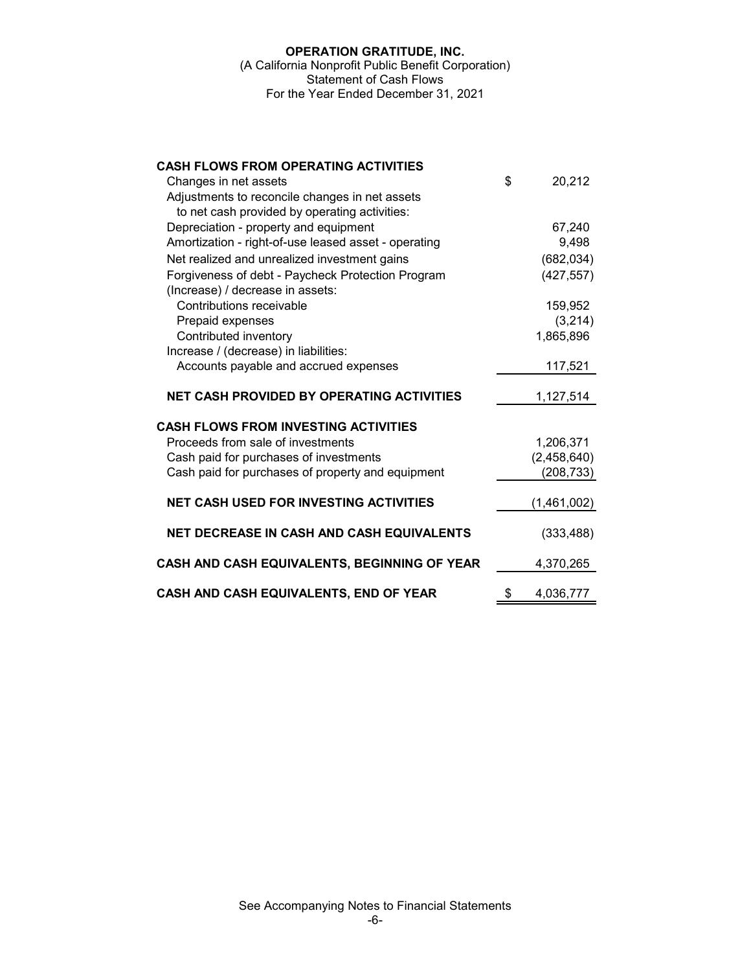# **OPERATION GRATITUDE, INC.**  (A California Nonprofit Public Benefit Corporation) Statement of Cash Flows For the Year Ended December 31, 2021

| <b>CASH FLOWS FROM OPERATING ACTIVITIES</b>                  |                 |
|--------------------------------------------------------------|-----------------|
| Changes in net assets                                        | \$<br>20,212    |
| Adjustments to reconcile changes in net assets               |                 |
| to net cash provided by operating activities:                |                 |
| Depreciation - property and equipment                        | 67,240          |
| Amortization - right-of-use leased asset - operating         | 9,498           |
| Net realized and unrealized investment gains                 | (682, 034)      |
| Forgiveness of debt - Paycheck Protection Program            | (427, 557)      |
| (Increase) / decrease in assets:<br>Contributions receivable | 159,952         |
| Prepaid expenses                                             | (3,214)         |
| Contributed inventory                                        | 1,865,896       |
| Increase / (decrease) in liabilities:                        |                 |
| Accounts payable and accrued expenses                        | 117,521         |
|                                                              |                 |
| <b>NET CASH PROVIDED BY OPERATING ACTIVITIES</b>             | 1,127,514       |
| <b>CASH FLOWS FROM INVESTING ACTIVITIES</b>                  |                 |
| Proceeds from sale of investments                            | 1,206,371       |
| Cash paid for purchases of investments                       | (2,458,640)     |
| Cash paid for purchases of property and equipment            | (208, 733)      |
|                                                              |                 |
| <b>NET CASH USED FOR INVESTING ACTIVITIES</b>                | (1,461,002)     |
| <b>NET DECREASE IN CASH AND CASH EQUIVALENTS</b>             | (333, 488)      |
| CASH AND CASH EQUIVALENTS, BEGINNING OF YEAR                 | 4,370,265       |
| CASH AND CASH EQUIVALENTS, END OF YEAR                       | \$<br>4,036,777 |

-6-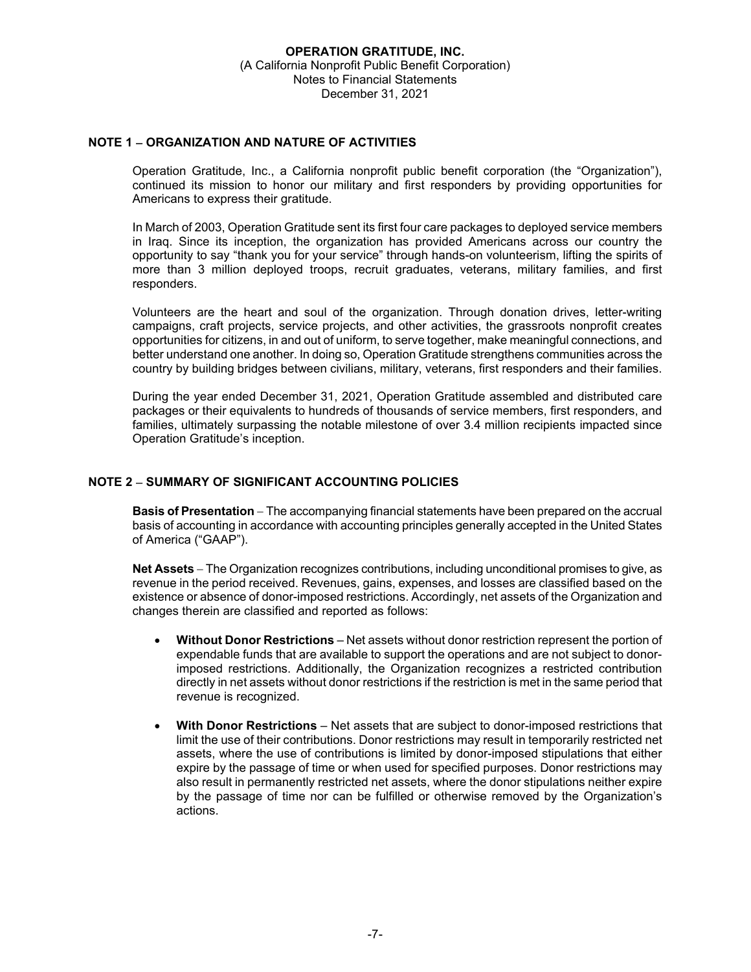#### **NOTE 1 ORGANIZATION AND NATURE OF ACTIVITIES**

Operation Gratitude, Inc., a California nonprofit public benefit corporation (the "Organization"), continued its mission to honor our military and first responders by providing opportunities for Americans to express their gratitude.

In March of 2003, Operation Gratitude sent its first four care packages to deployed service members in Iraq. Since its inception, the organization has provided Americans across our country the opportunity to say "thank you for your service" through hands-on volunteerism, lifting the spirits of more than 3 million deployed troops, recruit graduates, veterans, military families, and first responders.

Volunteers are the heart and soul of the organization. Through donation drives, letter-writing campaigns, craft projects, service projects, and other activities, the grassroots nonprofit creates opportunities for citizens, in and out of uniform, to serve together, make meaningful connections, and better understand one another. In doing so, Operation Gratitude strengthens communities across the country by building bridges between civilians, military, veterans, first responders and their families.

During the year ended December 31, 2021, Operation Gratitude assembled and distributed care packages or their equivalents to hundreds of thousands of service members, first responders, and families, ultimately surpassing the notable milestone of over 3.4 million recipients impacted since Operation Gratitude's inception.

# **NOTE 2 SUMMARY OF SIGNIFICANT ACCOUNTING POLICIES**

**Basis of Presentation** – The accompanying financial statements have been prepared on the accrual basis of accounting in accordance with accounting principles generally accepted in the United States of America ("GAAP").

**Net Assets** – The Organization recognizes contributions, including unconditional promises to give, as revenue in the period received. Revenues, gains, expenses, and losses are classified based on the existence or absence of donor-imposed restrictions. Accordingly, net assets of the Organization and changes therein are classified and reported as follows:

- **Without Donor Restrictions** Net assets without donor restriction represent the portion of expendable funds that are available to support the operations and are not subject to donorimposed restrictions. Additionally, the Organization recognizes a restricted contribution directly in net assets without donor restrictions if the restriction is met in the same period that revenue is recognized.
- **With Donor Restrictions** Net assets that are subject to donor-imposed restrictions that limit the use of their contributions. Donor restrictions may result in temporarily restricted net assets, where the use of contributions is limited by donor-imposed stipulations that either expire by the passage of time or when used for specified purposes. Donor restrictions may also result in permanently restricted net assets, where the donor stipulations neither expire by the passage of time nor can be fulfilled or otherwise removed by the Organization's actions.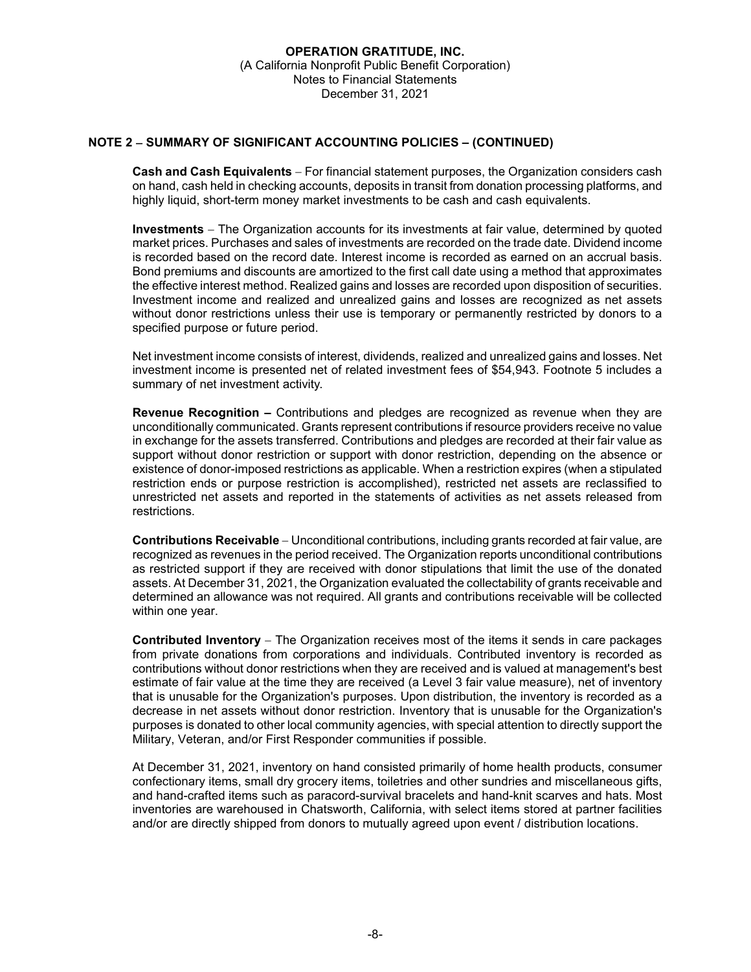# **NOTE 2 SUMMARY OF SIGNIFICANT ACCOUNTING POLICIES – (CONTINUED)**

**Cash and Cash Equivalents** – For financial statement purposes, the Organization considers cash on hand, cash held in checking accounts, deposits in transit from donation processing platforms, and highly liquid, short-term money market investments to be cash and cash equivalents.

**Investments** The Organization accounts for its investments at fair value, determined by quoted market prices. Purchases and sales of investments are recorded on the trade date. Dividend income is recorded based on the record date. Interest income is recorded as earned on an accrual basis. Bond premiums and discounts are amortized to the first call date using a method that approximates the effective interest method. Realized gains and losses are recorded upon disposition of securities. Investment income and realized and unrealized gains and losses are recognized as net assets without donor restrictions unless their use is temporary or permanently restricted by donors to a specified purpose or future period.

Net investment income consists of interest, dividends, realized and unrealized gains and losses. Net investment income is presented net of related investment fees of \$54,943. Footnote 5 includes a summary of net investment activity.

**Revenue Recognition –** Contributions and pledges are recognized as revenue when they are unconditionally communicated. Grants represent contributions if resource providers receive no value in exchange for the assets transferred. Contributions and pledges are recorded at their fair value as support without donor restriction or support with donor restriction, depending on the absence or existence of donor-imposed restrictions as applicable. When a restriction expires (when a stipulated restriction ends or purpose restriction is accomplished), restricted net assets are reclassified to unrestricted net assets and reported in the statements of activities as net assets released from restrictions.

**Contributions Receivable** Unconditional contributions, including grants recorded at fair value, are recognized as revenues in the period received. The Organization reports unconditional contributions as restricted support if they are received with donor stipulations that limit the use of the donated assets. At December 31, 2021, the Organization evaluated the collectability of grants receivable and determined an allowance was not required. All grants and contributions receivable will be collected within one year.

**Contributed Inventory** – The Organization receives most of the items it sends in care packages from private donations from corporations and individuals. Contributed inventory is recorded as contributions without donor restrictions when they are received and is valued at management's best estimate of fair value at the time they are received (a Level 3 fair value measure), net of inventory that is unusable for the Organization's purposes. Upon distribution, the inventory is recorded as a decrease in net assets without donor restriction. Inventory that is unusable for the Organization's purposes is donated to other local community agencies, with special attention to directly support the Military, Veteran, and/or First Responder communities if possible.

At December 31, 2021, inventory on hand consisted primarily of home health products, consumer confectionary items, small dry grocery items, toiletries and other sundries and miscellaneous gifts, and hand-crafted items such as paracord-survival bracelets and hand-knit scarves and hats. Most inventories are warehoused in Chatsworth, California, with select items stored at partner facilities and/or are directly shipped from donors to mutually agreed upon event / distribution locations.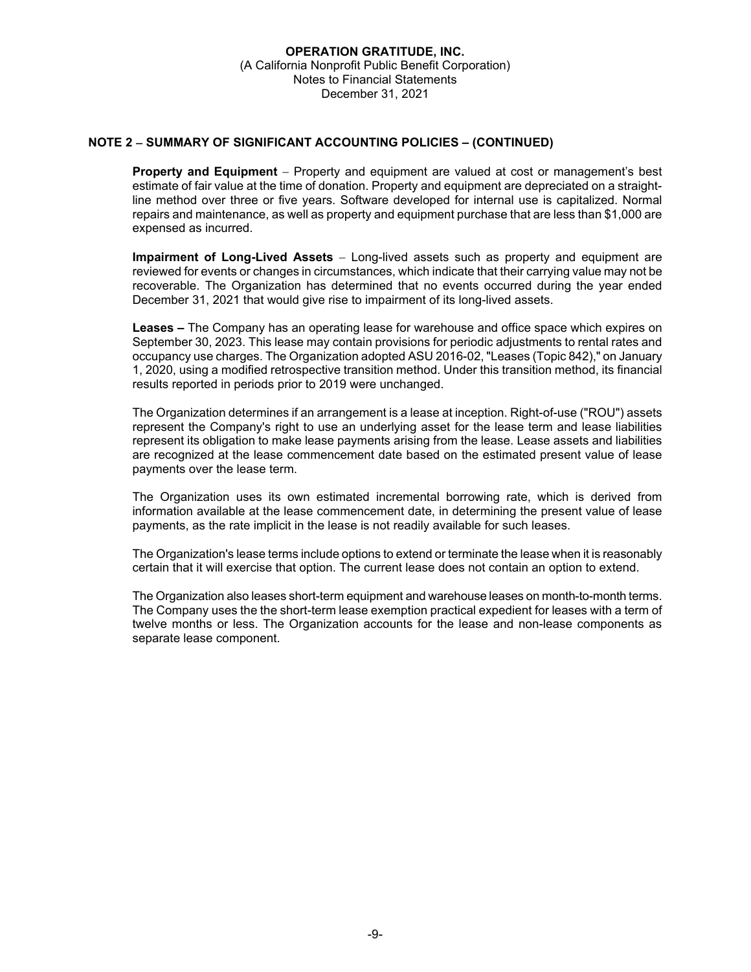# **NOTE 2 SUMMARY OF SIGNIFICANT ACCOUNTING POLICIES – (CONTINUED)**

**Property and Equipment** – Property and equipment are valued at cost or management's best estimate of fair value at the time of donation. Property and equipment are depreciated on a straightline method over three or five years. Software developed for internal use is capitalized. Normal repairs and maintenance, as well as property and equipment purchase that are less than \$1,000 are expensed as incurred.

**Impairment of Long-Lived Assets** Long-lived assets such as property and equipment are reviewed for events or changes in circumstances, which indicate that their carrying value may not be recoverable. The Organization has determined that no events occurred during the year ended December 31, 2021 that would give rise to impairment of its long-lived assets.

**Leases –** The Company has an operating lease for warehouse and office space which expires on September 30, 2023. This lease may contain provisions for periodic adjustments to rental rates and occupancy use charges. The Organization adopted ASU 2016-02, "Leases (Topic 842)," on January 1, 2020, using a modified retrospective transition method. Under this transition method, its financial results reported in periods prior to 2019 were unchanged.

The Organization determines if an arrangement is a lease at inception. Right-of-use ("ROU") assets represent the Company's right to use an underlying asset for the lease term and lease liabilities represent its obligation to make lease payments arising from the lease. Lease assets and liabilities are recognized at the lease commencement date based on the estimated present value of lease payments over the lease term.

The Organization uses its own estimated incremental borrowing rate, which is derived from information available at the lease commencement date, in determining the present value of lease payments, as the rate implicit in the lease is not readily available for such leases.

The Organization's lease terms include options to extend or terminate the lease when it is reasonably certain that it will exercise that option. The current lease does not contain an option to extend.

The Organization also leases short-term equipment and warehouse leases on month-to-month terms. The Company uses the the short-term lease exemption practical expedient for leases with a term of twelve months or less. The Organization accounts for the lease and non-lease components as separate lease component.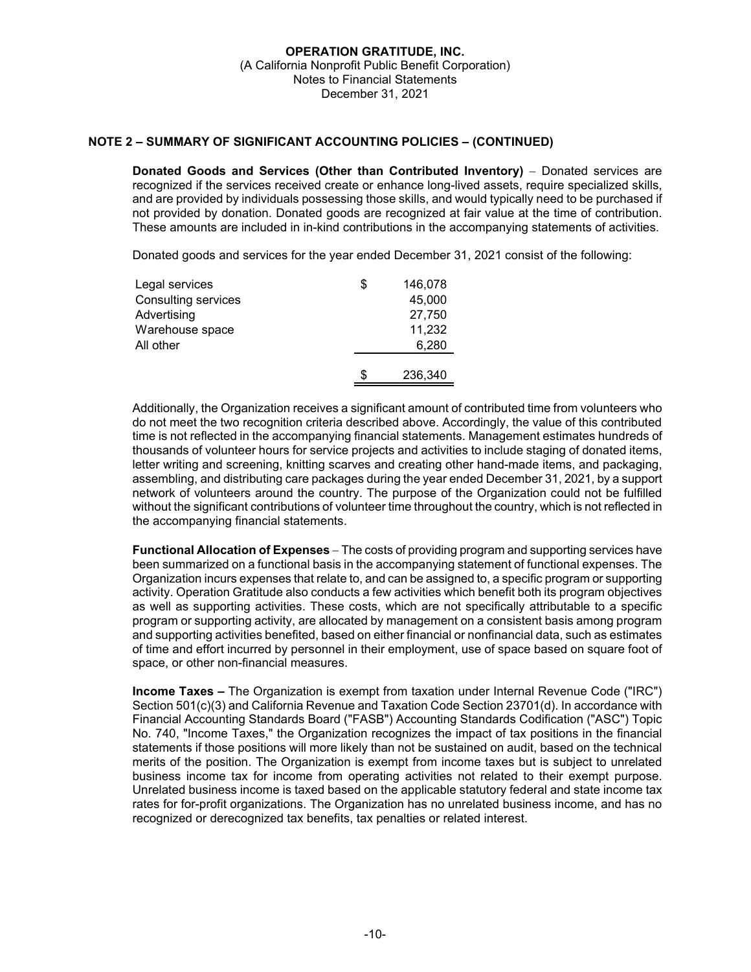# **NOTE 2 – SUMMARY OF SIGNIFICANT ACCOUNTING POLICIES – (CONTINUED)**

**Donated Goods and Services (Other than Contributed Inventory)** – Donated services are recognized if the services received create or enhance long-lived assets, require specialized skills, and are provided by individuals possessing those skills, and would typically need to be purchased if not provided by donation. Donated goods are recognized at fair value at the time of contribution. These amounts are included in in-kind contributions in the accompanying statements of activities.

Donated goods and services for the year ended December 31, 2021 consist of the following:

| Legal services      | \$ | 146,078 |
|---------------------|----|---------|
| Consulting services |    | 45,000  |
| Advertising         |    | 27,750  |
| Warehouse space     |    | 11,232  |
| All other           |    | 6,280   |
|                     |    |         |
|                     | S  | 236,340 |

Additionally, the Organization receives a significant amount of contributed time from volunteers who do not meet the two recognition criteria described above. Accordingly, the value of this contributed time is not reflected in the accompanying financial statements. Management estimates hundreds of thousands of volunteer hours for service projects and activities to include staging of donated items, letter writing and screening, knitting scarves and creating other hand-made items, and packaging, assembling, and distributing care packages during the year ended December 31, 2021, by a support network of volunteers around the country. The purpose of the Organization could not be fulfilled without the significant contributions of volunteer time throughout the country, which is not reflected in the accompanying financial statements.

**Functional Allocation of Expenses** – The costs of providing program and supporting services have been summarized on a functional basis in the accompanying statement of functional expenses. The Organization incurs expenses that relate to, and can be assigned to, a specific program or supporting activity. Operation Gratitude also conducts a few activities which benefit both its program objectives as well as supporting activities. These costs, which are not specifically attributable to a specific program or supporting activity, are allocated by management on a consistent basis among program and supporting activities benefited, based on either financial or nonfinancial data, such as estimates of time and effort incurred by personnel in their employment, use of space based on square foot of space, or other non-financial measures.

**Income Taxes –** The Organization is exempt from taxation under Internal Revenue Code ("IRC") Section 501(c)(3) and California Revenue and Taxation Code Section 23701(d). In accordance with Financial Accounting Standards Board ("FASB") Accounting Standards Codification ("ASC") Topic No. 740, "Income Taxes," the Organization recognizes the impact of tax positions in the financial statements if those positions will more likely than not be sustained on audit, based on the technical merits of the position. The Organization is exempt from income taxes but is subject to unrelated business income tax for income from operating activities not related to their exempt purpose. Unrelated business income is taxed based on the applicable statutory federal and state income tax rates for for-profit organizations. The Organization has no unrelated business income, and has no recognized or derecognized tax benefits, tax penalties or related interest.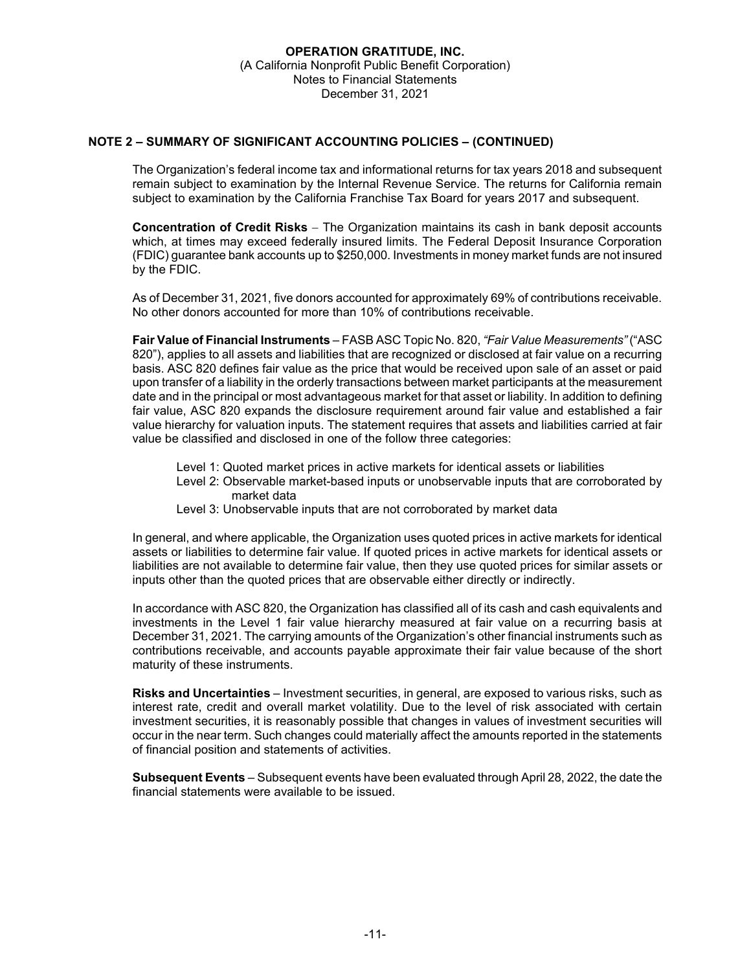# **NOTE 2 – SUMMARY OF SIGNIFICANT ACCOUNTING POLICIES – (CONTINUED)**

The Organization's federal income tax and informational returns for tax years 2018 and subsequent remain subject to examination by the Internal Revenue Service. The returns for California remain subject to examination by the California Franchise Tax Board for years 2017 and subsequent.

**Concentration of Credit Risks** – The Organization maintains its cash in bank deposit accounts which, at times may exceed federally insured limits. The Federal Deposit Insurance Corporation (FDIC) guarantee bank accounts up to \$250,000. Investments in money market funds are not insured by the FDIC.

As of December 31, 2021, five donors accounted for approximately 69% of contributions receivable. No other donors accounted for more than 10% of contributions receivable.

**Fair Value of Financial Instruments** – FASB ASC Topic No. 820, *"Fair Value Measurements"* ("ASC 820"), applies to all assets and liabilities that are recognized or disclosed at fair value on a recurring basis. ASC 820 defines fair value as the price that would be received upon sale of an asset or paid upon transfer of a liability in the orderly transactions between market participants at the measurement date and in the principal or most advantageous market for that asset or liability. In addition to defining fair value, ASC 820 expands the disclosure requirement around fair value and established a fair value hierarchy for valuation inputs. The statement requires that assets and liabilities carried at fair value be classified and disclosed in one of the follow three categories:

- Level 1: Quoted market prices in active markets for identical assets or liabilities
- Level 2: Observable market-based inputs or unobservable inputs that are corroborated by market data
- Level 3: Unobservable inputs that are not corroborated by market data

In general, and where applicable, the Organization uses quoted prices in active markets for identical assets or liabilities to determine fair value. If quoted prices in active markets for identical assets or liabilities are not available to determine fair value, then they use quoted prices for similar assets or inputs other than the quoted prices that are observable either directly or indirectly.

In accordance with ASC 820, the Organization has classified all of its cash and cash equivalents and investments in the Level 1 fair value hierarchy measured at fair value on a recurring basis at December 31, 2021. The carrying amounts of the Organization's other financial instruments such as contributions receivable, and accounts payable approximate their fair value because of the short maturity of these instruments.

**Risks and Uncertainties** – Investment securities, in general, are exposed to various risks, such as interest rate, credit and overall market volatility. Due to the level of risk associated with certain investment securities, it is reasonably possible that changes in values of investment securities will occur in the near term. Such changes could materially affect the amounts reported in the statements of financial position and statements of activities.

**Subsequent Events** – Subsequent events have been evaluated through April 28, 2022, the date the financial statements were available to be issued.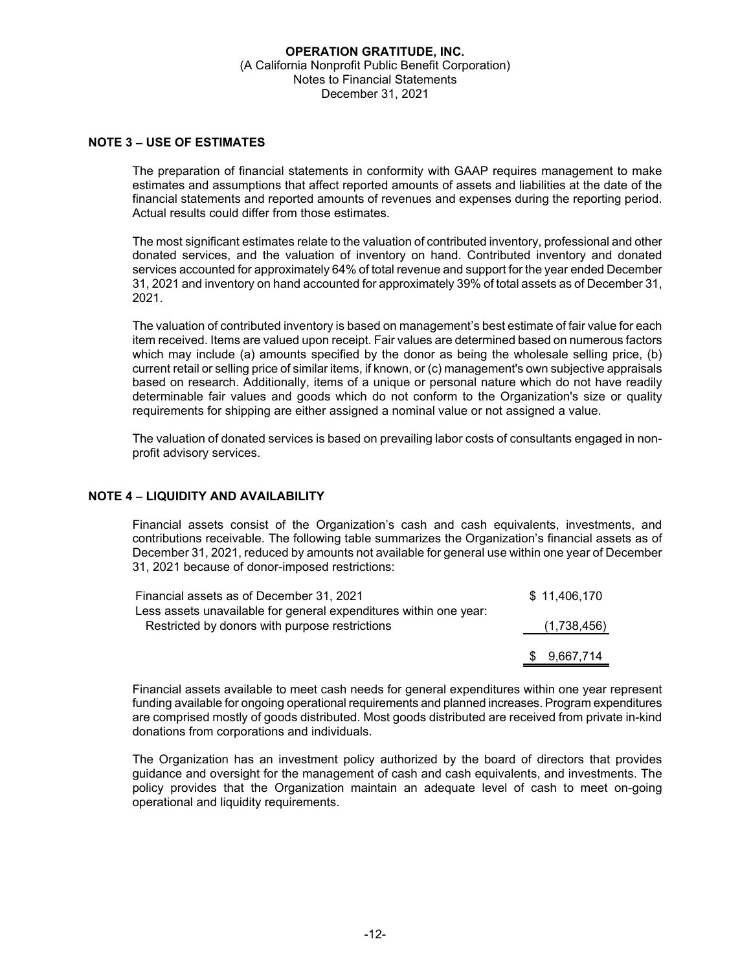#### **NOTE 3 USE OF ESTIMATES**

The preparation of financial statements in conformity with GAAP requires management to make estimates and assumptions that affect reported amounts of assets and liabilities at the date of the financial statements and reported amounts of revenues and expenses during the reporting period. Actual results could differ from those estimates.

The most significant estimates relate to the valuation of contributed inventory, professional and other donated services, and the valuation of inventory on hand. Contributed inventory and donated services accounted for approximately 64% of total revenue and support for the year ended December 31, 2021 and inventory on hand accounted for approximately 39% of total assets as of December 31, 2021.

The valuation of contributed inventory is based on management's best estimate of fair value for each item received. Items are valued upon receipt. Fair values are determined based on numerous factors which may include (a) amounts specified by the donor as being the wholesale selling price, (b) current retail or selling price of similar items, if known, or (c) management's own subjective appraisals based on research. Additionally, items of a unique or personal nature which do not have readily determinable fair values and goods which do not conform to the Organization's size or quality requirements for shipping are either assigned a nominal value or not assigned a value.

The valuation of donated services is based on prevailing labor costs of consultants engaged in nonprofit advisory services.

#### **NOTE 4 LIQUIDITY AND AVAILABILITY**

Financial assets consist of the Organization's cash and cash equivalents, investments, and contributions receivable. The following table summarizes the Organization's financial assets as of December 31, 2021, reduced by amounts not available for general use within one year of December 31, 2021 because of donor-imposed restrictions:

| Financial assets as of December 31, 2021                          |    | \$11,406,170 |
|-------------------------------------------------------------------|----|--------------|
| Less assets unavailable for general expenditures within one year: |    |              |
| Restricted by donors with purpose restrictions                    |    | (1,738,456)  |
|                                                                   |    |              |
|                                                                   | S. | 9,667,714    |

Financial assets available to meet cash needs for general expenditures within one year represent funding available for ongoing operational requirements and planned increases. Program expenditures are comprised mostly of goods distributed. Most goods distributed are received from private in-kind donations from corporations and individuals.

The Organization has an investment policy authorized by the board of directors that provides guidance and oversight for the management of cash and cash equivalents, and investments. The policy provides that the Organization maintain an adequate level of cash to meet on-going operational and liquidity requirements.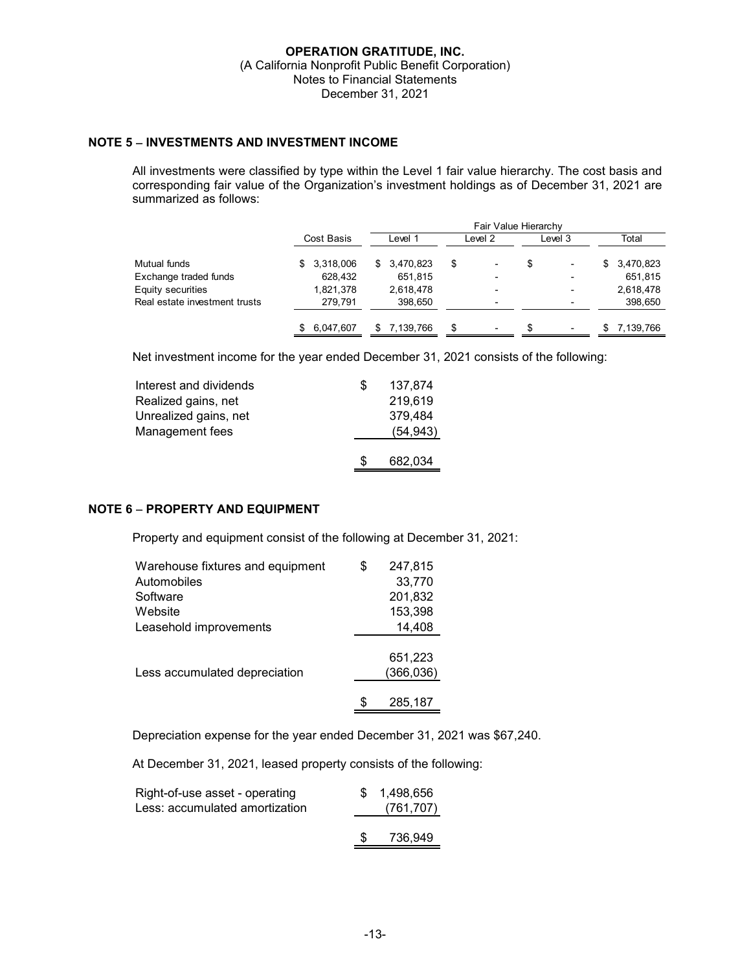# **NOTE 5 INVESTMENTS AND INVESTMENT INCOME**

All investments were classified by type within the Level 1 fair value hierarchy. The cost basis and corresponding fair value of the Organization's investment holdings as of December 31, 2021 are summarized as follows:

|                               | Fair Value Hierarchy |              |                                |                          |                 |  |  |
|-------------------------------|----------------------|--------------|--------------------------------|--------------------------|-----------------|--|--|
|                               | Cost Basis           | Level 1      | Level 2                        | Level 3                  | Total           |  |  |
| Mutual funds                  | 3,318,006<br>\$.     | \$3,470,823  | \$<br>$\overline{\phantom{a}}$ | S<br>٠                   | 3,470,823<br>\$ |  |  |
| Exchange traded funds         | 628,432              | 651,815      |                                | $\overline{\phantom{0}}$ | 651,815         |  |  |
| Equity securities             | 1,821,378            | 2,618,478    |                                | ٠                        | 2,618,478       |  |  |
| Real estate investment trusts | 279,791              | 398,650      |                                |                          | 398,650         |  |  |
|                               | 6,047,607            | \$ 7.139.766 | \$<br>$\overline{\phantom{0}}$ | ٠                        | 7.139.766       |  |  |

Net investment income for the year ended December 31, 2021 consists of the following:

| Interest and dividends | S   | 137.874   |
|------------------------|-----|-----------|
| Realized gains, net    |     | 219,619   |
| Unrealized gains, net  |     | 379,484   |
| Management fees        |     | (54, 943) |
|                        |     |           |
|                        | \$. | 682,034   |

# **NOTE 6 PROPERTY AND EQUIPMENT**

Property and equipment consist of the following at December 31, 2021:

| Warehouse fixtures and equipment | \$<br>247,815 |
|----------------------------------|---------------|
| Automobiles                      | 33,770        |
| Software                         | 201,832       |
| Website                          | 153,398       |
| Leasehold improvements           | 14,408        |
|                                  |               |
|                                  | 651,223       |
| Less accumulated depreciation    | (366, 036)    |
|                                  |               |
|                                  | 285,187       |

Depreciation expense for the year ended December 31, 2021 was \$67,240.

At December 31, 2021, leased property consists of the following:

| Right-of-use asset - operating<br>Less: accumulated amortization |               | \$ 1.498.656<br>(761, 707) |
|------------------------------------------------------------------|---------------|----------------------------|
|                                                                  | $\mathcal{S}$ | 736.949                    |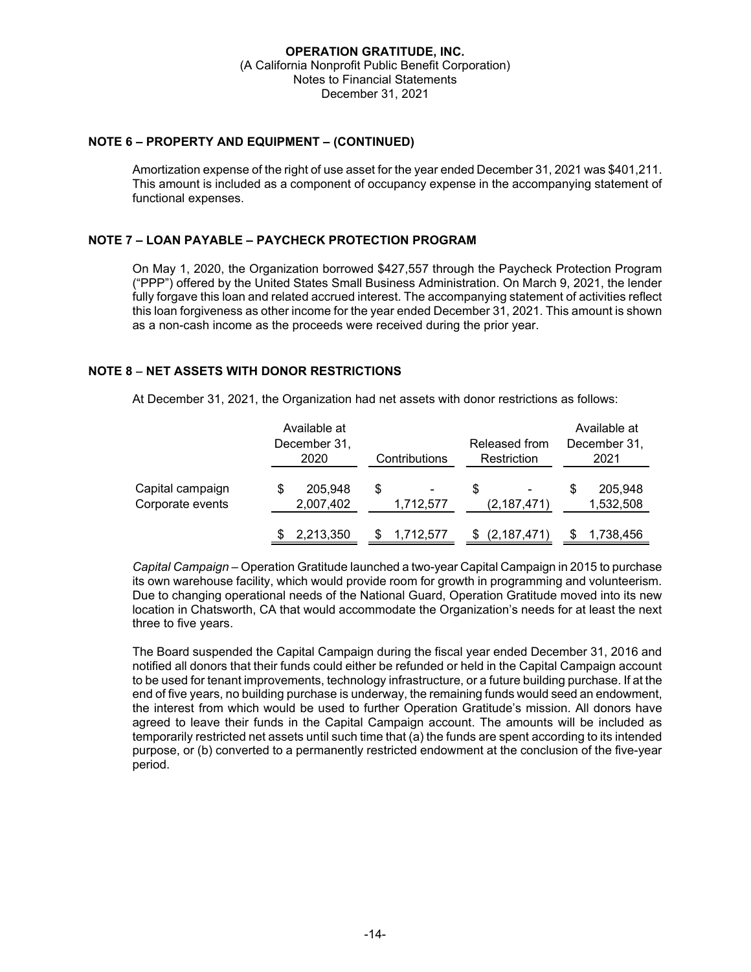# **NOTE 6 – PROPERTY AND EQUIPMENT – (CONTINUED)**

Amortization expense of the right of use asset for the year ended December 31, 2021 was \$401,211. This amount is included as a component of occupancy expense in the accompanying statement of functional expenses.

# **NOTE 7 – LOAN PAYABLE – PAYCHECK PROTECTION PROGRAM**

On May 1, 2020, the Organization borrowed \$427,557 through the Paycheck Protection Program ("PPP") offered by the United States Small Business Administration. On March 9, 2021, the lender fully forgave this loan and related accrued interest. The accompanying statement of activities reflect this loan forgiveness as other income for the year ended December 31, 2021. This amount is shown as a non-cash income as the proceeds were received during the prior year.

# **NOTE 8 – NET ASSETS WITH DONOR RESTRICTIONS**

At December 31, 2021, the Organization had net assets with donor restrictions as follows:

|                                      | Available at<br>December 31,<br>2020 | Contributions  | Released from<br>Restriction | Available at<br>December 31,<br>2021 |
|--------------------------------------|--------------------------------------|----------------|------------------------------|--------------------------------------|
| Capital campaign<br>Corporate events | 205,948<br>2,007,402                 | S<br>1,712,577 | \$.<br>(2, 187, 471)         | 205,948<br>1,532,508                 |
|                                      | 2,213,350                            | 1,712,577      | (2,187,471)                  | 1,738,456                            |

*Capital Campaign* – Operation Gratitude launched a two-year Capital Campaign in 2015 to purchase its own warehouse facility, which would provide room for growth in programming and volunteerism. Due to changing operational needs of the National Guard, Operation Gratitude moved into its new location in Chatsworth, CA that would accommodate the Organization's needs for at least the next three to five years.

The Board suspended the Capital Campaign during the fiscal year ended December 31, 2016 and notified all donors that their funds could either be refunded or held in the Capital Campaign account to be used for tenant improvements, technology infrastructure, or a future building purchase. If at the end of five years, no building purchase is underway, the remaining funds would seed an endowment, the interest from which would be used to further Operation Gratitude's mission. All donors have agreed to leave their funds in the Capital Campaign account. The amounts will be included as temporarily restricted net assets until such time that (a) the funds are spent according to its intended purpose, or (b) converted to a permanently restricted endowment at the conclusion of the five-year period.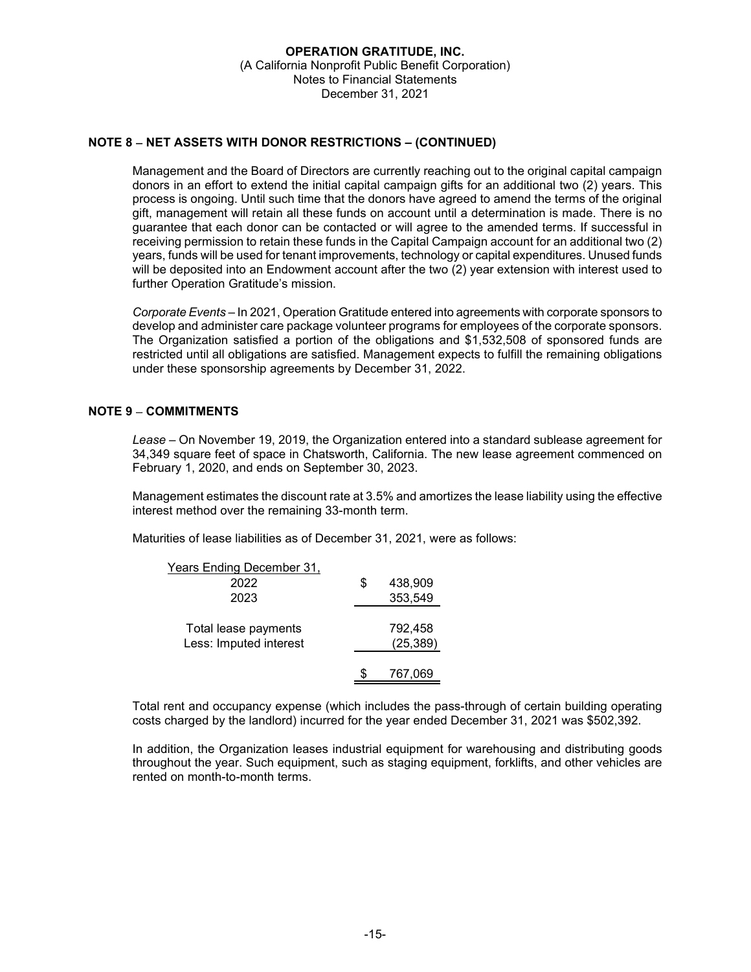# **NOTE 8 NET ASSETS WITH DONOR RESTRICTIONS – (CONTINUED)**

Management and the Board of Directors are currently reaching out to the original capital campaign donors in an effort to extend the initial capital campaign gifts for an additional two (2) years. This process is ongoing. Until such time that the donors have agreed to amend the terms of the original gift, management will retain all these funds on account until a determination is made. There is no guarantee that each donor can be contacted or will agree to the amended terms. If successful in receiving permission to retain these funds in the Capital Campaign account for an additional two (2) years, funds will be used for tenant improvements, technology or capital expenditures. Unused funds will be deposited into an Endowment account after the two (2) year extension with interest used to further Operation Gratitude's mission.

*Corporate Events* – In 2021, Operation Gratitude entered into agreements with corporate sponsors to develop and administer care package volunteer programs for employees of the corporate sponsors. The Organization satisfied a portion of the obligations and \$1,532,508 of sponsored funds are restricted until all obligations are satisfied. Management expects to fulfill the remaining obligations under these sponsorship agreements by December 31, 2022.

#### **NOTE 9 COMMITMENTS**

*Lease –* On November 19, 2019, the Organization entered into a standard sublease agreement for 34,349 square feet of space in Chatsworth, California. The new lease agreement commenced on February 1, 2020, and ends on September 30, 2023.

Management estimates the discount rate at 3.5% and amortizes the lease liability using the effective interest method over the remaining 33-month term.

Maturities of lease liabilities as of December 31, 2021, were as follows:

| <u>Years Ending December 31,</u> |    |           |
|----------------------------------|----|-----------|
| 2022                             | \$ | 438,909   |
| 2023                             |    | 353,549   |
|                                  |    |           |
| Total lease payments             |    | 792,458   |
| Less: Imputed interest           |    | (25, 389) |
|                                  |    |           |
|                                  |    | 767,069   |

Total rent and occupancy expense (which includes the pass-through of certain building operating costs charged by the landlord) incurred for the year ended December 31, 2021 was \$502,392.

In addition, the Organization leases industrial equipment for warehousing and distributing goods throughout the year. Such equipment, such as staging equipment, forklifts, and other vehicles are rented on month-to-month terms.